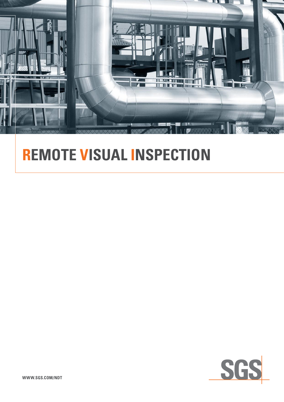

# **remote visual inspection**